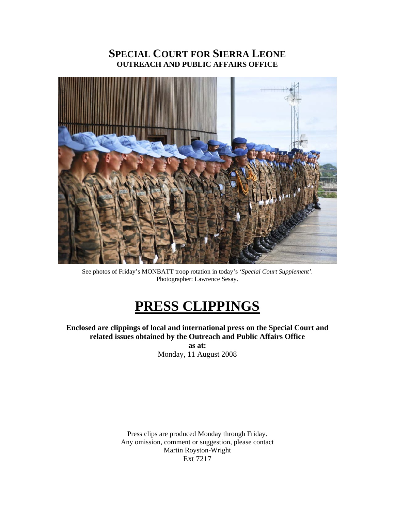## **SPECIAL COURT FOR SIERRA LEONE OUTREACH AND PUBLIC AFFAIRS OFFICE**



See photos of Friday's MONBATT troop rotation in today's *'Special Court Supplement'*. Photographer: Lawrence Sesay.

# **PRESS CLIPPINGS**

**Enclosed are clippings of local and international press on the Special Court and related issues obtained by the Outreach and Public Affairs Office** 

**as at:**  Monday, 11 August 2008

Press clips are produced Monday through Friday. Any omission, comment or suggestion, please contact Martin Royston-Wright Ext 7217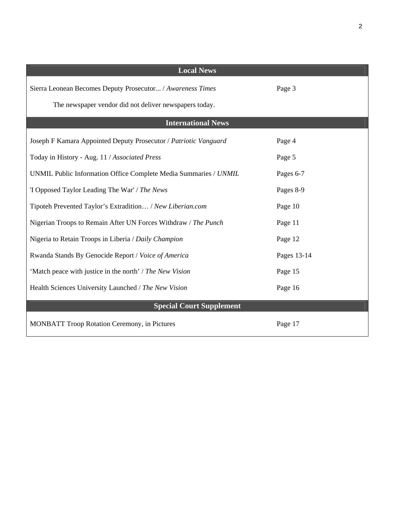| <b>Local News</b>                                                |             |
|------------------------------------------------------------------|-------------|
| Sierra Leonean Becomes Deputy Prosecutor / Awareness Times       | Page 3      |
| The newspaper vendor did not deliver newspapers today.           |             |
| <b>International News</b>                                        |             |
| Joseph F Kamara Appointed Deputy Prosecutor / Patriotic Vanguard | Page 4      |
| Today in History - Aug. 11 / Associated Press                    | Page 5      |
| UNMIL Public Information Office Complete Media Summaries / UNMIL | Pages 6-7   |
| 'I Opposed Taylor Leading The War' / The News                    | Pages 8-9   |
| Tipoteh Prevented Taylor's Extradition / New Liberian.com        | Page 10     |
| Nigerian Troops to Remain After UN Forces Withdraw / The Punch   | Page 11     |
| Nigeria to Retain Troops in Liberia / Daily Champion             | Page 12     |
| Rwanda Stands By Genocide Report / Voice of America              | Pages 13-14 |
| 'Match peace with justice in the north' / The New Vision         | Page 15     |
| Health Sciences University Launched / The New Vision             | Page 16     |
| <b>Special Court Supplement</b>                                  |             |
| <b>MONBATT Troop Rotation Ceremony, in Pictures</b>              | Page 17     |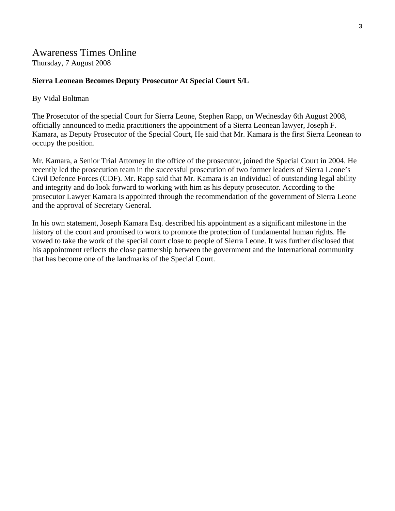## Awareness Times Online

Thursday, 7 August 2008

### **Sierra Leonean Becomes Deputy Prosecutor At Special Court S/L**

#### By Vidal Boltman

The Prosecutor of the special Court for Sierra Leone, Stephen Rapp, on Wednesday 6th August 2008, officially announced to media practitioners the appointment of a Sierra Leonean lawyer, Joseph F. Kamara, as Deputy Prosecutor of the Special Court, He said that Mr. Kamara is the first Sierra Leonean to occupy the position.

Mr. Kamara, a Senior Trial Attorney in the office of the prosecutor, joined the Special Court in 2004. He recently led the prosecution team in the successful prosecution of two former leaders of Sierra Leone's Civil Defence Forces (CDF). Mr. Rapp said that Mr. Kamara is an individual of outstanding legal ability and integrity and do look forward to working with him as his deputy prosecutor. According to the prosecutor Lawyer Kamara is appointed through the recommendation of the government of Sierra Leone and the approval of Secretary General.

In his own statement, Joseph Kamara Esq. described his appointment as a significant milestone in the history of the court and promised to work to promote the protection of fundamental human rights. He vowed to take the work of the special court close to people of Sierra Leone. It was further disclosed that his appointment reflects the close partnership between the government and the International community that has become one of the landmarks of the Special Court.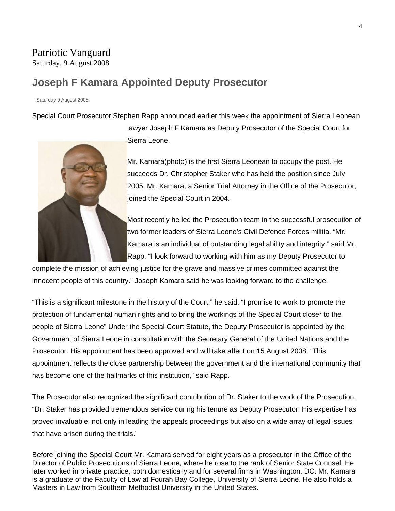## Patriotic Vanguard Saturday, 9 August 2008

## **Joseph F Kamara Appointed Deputy Prosecutor**

- Saturday 9 August 2008.

Special Court Prosecutor Stephen Rapp announced earlier this week the appointment of Sierra Leonean

lawyer Joseph F Kamara as Deputy Prosecutor of the Special Court for Sierra Leone.

Mr. Kamara(photo) is the first Sierra Leonean to occupy the post. He succeeds Dr. Christopher Staker who has held the position since July 2005. Mr. Kamara, a Senior Trial Attorney in the Office of the Prosecutor, joined the Special Court in 2004.

Most recently he led the Prosecution team in the successful prosecution of two former leaders of Sierra Leone's Civil Defence Forces militia. "Mr. Kamara is an individual of outstanding legal ability and integrity," said Mr. Rapp. "I look forward to working with him as my Deputy Prosecutor to

complete the mission of achieving justice for the grave and massive crimes committed against the innocent people of this country." Joseph Kamara said he was looking forward to the challenge.

"This is a significant milestone in the history of the Court," he said. "I promise to work to promote the protection of fundamental human rights and to bring the workings of the Special Court closer to the people of Sierra Leone" Under the Special Court Statute, the Deputy Prosecutor is appointed by the Government of Sierra Leone in consultation with the Secretary General of the United Nations and the Prosecutor. His appointment has been approved and will take affect on 15 August 2008. "This appointment reflects the close partnership between the government and the international community that has become one of the hallmarks of this institution," said Rapp.

The Prosecutor also recognized the significant contribution of Dr. Staker to the work of the Prosecution. "Dr. Staker has provided tremendous service during his tenure as Deputy Prosecutor. His expertise has proved invaluable, not only in leading the appeals proceedings but also on a wide array of legal issues that have arisen during the trials."

Before joining the Special Court Mr. Kamara served for eight years as a prosecutor in the Office of the Director of Public Prosecutions of Sierra Leone, where he rose to the rank of Senior State Counsel. He later worked in private practice, both domestically and for several firms in Washington, DC. Mr. Kamara is a graduate of the Faculty of Law at Fourah Bay College, University of Sierra Leone. He also holds a Masters in Law from Southern Methodist University in the United States.

![](_page_3_Picture_11.jpeg)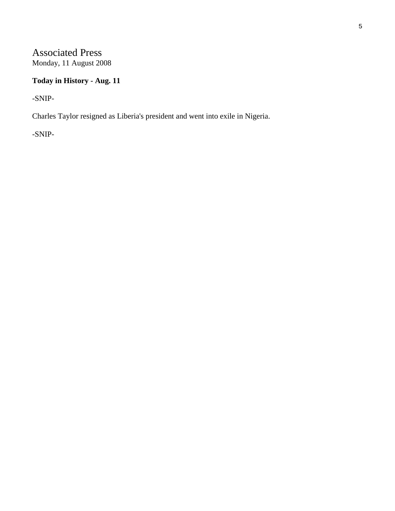# Associated Press

Monday, 11 August 2008

## **Today in History - Aug. 11**

-SNIP-

Charles Taylor resigned as Liberia's president and went into exile in Nigeria.

-SNIP-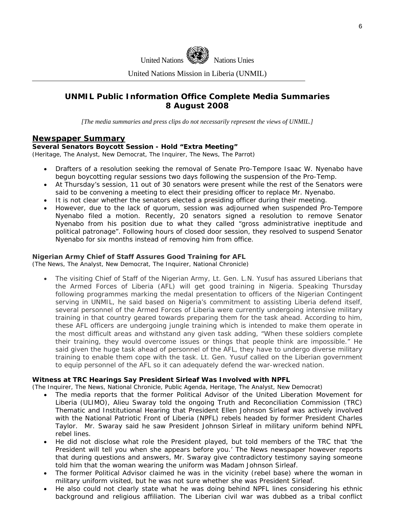![](_page_5_Picture_0.jpeg)

United Nations Mission in Liberia (UNMIL)

## **UNMIL Public Information Office Complete Media Summaries 8 August 2008**

*[The media summaries and press clips do not necessarily represent the views of UNMIL.]* 

#### **Newspaper Summary**

#### **Several Senators Boycott Session - Hold "Extra Meeting"**

(Heritage, The Analyst, New Democrat, The Inquirer, The News, The Parrot)

- Drafters of a resolution seeking the removal of Senate Pro-Tempore Isaac W. Nyenabo have begun boycotting regular sessions two days following the suspension of the Pro-Temp.
- At Thursday's session, 11 out of 30 senators were present while the rest of the Senators were said to be convening a meeting to elect their presiding officer to replace Mr. Nyenabo.
- It is not clear whether the senators elected a presiding officer during their meeting.
- However, due to the lack of quorum, session was adjourned when suspended Pro-Tempore Nyenabo filed a motion. Recently, 20 senators signed a resolution to remove Senator Nyenabo from his position due to what they called "gross administrative ineptitude and political patronage". Following hours of closed door session, they resolved to suspend Senator Nyenabo for six months instead of removing him from office.

#### **Nigerian Army Chief of Staff Assures Good Training for AFL**

(The News, The Analyst, New Democrat, The Inquirer, National Chronicle)

The visiting Chief of Staff of the Nigerian Army, Lt. Gen. L.N. Yusuf has assured Liberians that the Armed Forces of Liberia (AFL) will get good training in Nigeria. Speaking Thursday following programmes marking the medal presentation to officers of the Nigerian Contingent serving in UNMIL, he said based on Nigeria's commitment to assisting Liberia defend itself, several personnel of the Armed Forces of Liberia were currently undergoing intensive military training in that country geared towards preparing them for the task ahead. According to him, these AFL officers are undergoing jungle training which is intended to make them operate in the most difficult areas and withstand any given task adding, "When these soldiers complete their training, they would overcome issues or things that people think are impossible." He said given the huge task ahead of personnel of the AFL, they have to undergo diverse military training to enable them cope with the task. Lt. Gen. Yusuf called on the Liberian government to equip personnel of the AFL so it can adequately defend the war-wrecked nation.

#### **Witness at TRC Hearings Say President Sirleaf Was Involved with NPFL**

(The Inquirer, The News, National Chronicle, Public Agenda, Heritage, The Analyst, New Democrat)

- The media reports that the former Political Advisor of the United Liberation Movement for Liberia (ULIMO), Alieu Swaray told the ongoing Truth and Reconciliation Commission (TRC) Thematic and Institutional Hearing that President Ellen Johnson Sirleaf was actively involved with the National Patriotic Front of Liberia (NPFL) rebels headed by former President Charles Taylor. Mr. Swaray said he saw President Johnson Sirleaf in military uniform behind NPFL rebel lines.
- He did not disclose what role the President played, but told members of the TRC that 'the President will tell you when she appears before you.' The News newspaper however reports that during questions and answers, Mr. Swaray give contradictory testimony saying someone told him that the woman wearing the uniform was Madam Johnson Sirleaf.
- The former Political Advisor claimed he was in the vicinity (rebel base) where the woman in military uniform visited, but he was not sure whether she was President Sirleaf.
- He also could not clearly state what he was doing behind NPFL lines considering his ethnic background and religious affiliation. The Liberian civil war was dubbed as a tribal conflict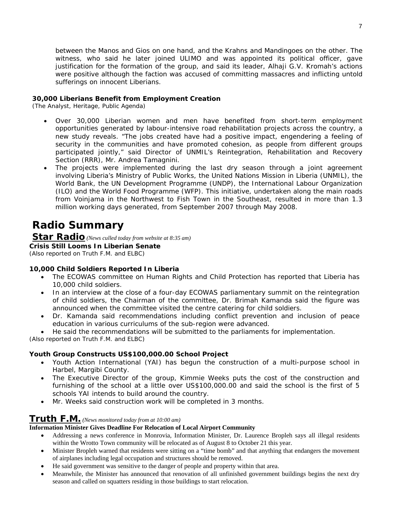between the Manos and Gios on one hand, and the Krahns and Mandingoes on the other. The witness, who said he later joined ULIMO and was appointed its political officer, gave justification for the formation of the group, and said its leader, Alhaji G.V. Kromah's actions were positive although the faction was accused of committing massacres and inflicting untold sufferings on innocent Liberians.

#### **30,000 Liberians Benefit from Employment Creation**

(The Analyst, Heritage, Public Agenda)

- Over 30,000 Liberian women and men have benefited from short-term employment opportunities generated by labour-intensive road rehabilitation projects across the country, a new study reveals. "The jobs created have had a positive impact, engendering a feeling of security in the communities and have promoted cohesion, as people from different groups participated jointly," said Director of UNMIL's Reintegration, Rehabilitation and Recovery Section (RRR), Mr. Andrea Tamagnini.
- The projects were implemented during the last dry season through a joint agreement involving Liberia's Ministry of Public Works, the United Nations Mission in Liberia (UNMIL), the World Bank, the UN Development Programme (UNDP), the International Labour Organization (ILO) and the World Food Programme (WFP). This initiative, undertaken along the main roads from Voinjama in the Northwest to Fish Town in the Southeast, resulted in more than 1.3 million working days generated, from September 2007 through May 2008.

## **Radio Summary**

**Star Radio** *(News culled today from website at 8:35 am)*  **Crisis Still Looms In Liberian Senate**  *(Also reported on Truth F.M. and ELBC)*

#### **10,000 Child Soldiers Reported In Liberia**

- The ECOWAS committee on Human Rights and Child Protection has reported that Liberia has 10,000 child soldiers.
- In an interview at the close of a four-day ECOWAS parliamentary summit on the reintegration of child soldiers, the Chairman of the committee, Dr. Brimah Kamanda said the figure was announced when the committee visited the centre catering for child soldiers.
- Dr. Kamanda said recommendations including conflict prevention and inclusion of peace education in various curriculums of the sub-region were advanced.
- He said the recommendations will be submitted to the parliaments for implementation.

*(Also reported on Truth F.M. and ELBC)*

#### **Youth Group Constructs US\$100,000.00 School Project**

- Youth Action International (YAI) has begun the construction of a multi-purpose school in Harbel, Margibi County.
- The Executive Director of the group, Kimmie Weeks puts the cost of the construction and furnishing of the school at a little over US\$100,000.00 and said the school is the first of 5 schools YAI intends to build around the country.
- Mr. Weeks said construction work will be completed in 3 months.

#### **Truth F.M.** *(News monitored today from at 10:00 am)*

#### **Information Minister Gives Deadline For Relocation of Local Airport Community**

- Addressing a news conference in Monrovia, Information Minister, Dr. Laurence Bropleh says all illegal residents within the Wrotto Town community will be relocated as of August 8 to October 21 this year.
- Minister Bropleh warned that residents were sitting on a "time bomb" and that anything that endangers the movement of airplanes including legal occupation and structures should be removed.
- He said government was sensitive to the danger of people and property within that area.
- Meanwhile, the Minister has announced that renovation of all unfinished government buildings begins the next dry season and called on squatters residing in those buildings to start relocation.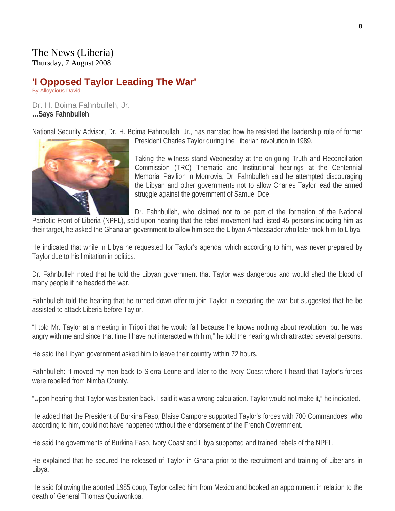## The News (Liberia)

Thursday, 7 August 2008

## **'I Opposed Taylor Leading The War'**

By Alloycious David

Dr. H. Boima Fahnbulleh, Jr. **…Says Fahnbulleh** 

National Security Advisor, Dr. H. Boima Fahnbullah, Jr., has narrated how he resisted the leadership role of former

![](_page_7_Picture_6.jpeg)

President Charles Taylor during the Liberian revolution in 1989.

Taking the witness stand Wednesday at the on-going Truth and Reconciliation Commission (TRC) Thematic and Institutional hearings at the Centennial Memorial Pavilion in Monrovia, Dr. Fahnbulleh said he attempted discouraging the Libyan and other governments not to allow Charles Taylor lead the armed struggle against the government of Samuel Doe.

Dr. Fahnbulleh, who claimed not to be part of the formation of the National

Patriotic Front of Liberia (NPFL), said upon hearing that the rebel movement had listed 45 persons including him as their target, he asked the Ghanaian government to allow him see the Libyan Ambassador who later took him to Libya.

He indicated that while in Libya he requested for Taylor's agenda, which according to him, was never prepared by Taylor due to his limitation in politics.

Dr. Fahnbulleh noted that he told the Libyan government that Taylor was dangerous and would shed the blood of many people if he headed the war.

Fahnbulleh told the hearing that he turned down offer to join Taylor in executing the war but suggested that he be assisted to attack Liberia before Taylor.

"I told Mr. Taylor at a meeting in Tripoli that he would fail because he knows nothing about revolution, but he was angry with me and since that time I have not interacted with him," he told the hearing which attracted several persons.

He said the Libyan government asked him to leave their country within 72 hours.

Fahnbulleh: "I moved my men back to Sierra Leone and later to the Ivory Coast where I heard that Taylor's forces were repelled from Nimba County."

"Upon hearing that Taylor was beaten back. I said it was a wrong calculation. Taylor would not make it," he indicated.

He added that the President of Burkina Faso, Blaise Campore supported Taylor's forces with 700 Commandoes, who according to him, could not have happened without the endorsement of the French Government.

He said the governments of Burkina Faso, Ivory Coast and Libya supported and trained rebels of the NPFL.

He explained that he secured the released of Taylor in Ghana prior to the recruitment and training of Liberians in Libya.

He said following the aborted 1985 coup, Taylor called him from Mexico and booked an appointment in relation to the death of General Thomas Quoiwonkpa.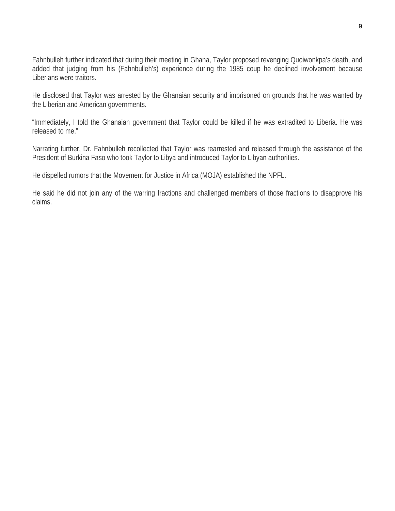Fahnbulleh further indicated that during their meeting in Ghana, Taylor proposed revenging Quoiwonkpa's death, and added that judging from his (Fahnbulleh's) experience during the 1985 coup he declined involvement because Liberians were traitors.

He disclosed that Taylor was arrested by the Ghanaian security and imprisoned on grounds that he was wanted by the Liberian and American governments.

"Immediately, I told the Ghanaian government that Taylor could be killed if he was extradited to Liberia. He was released to me."

Narrating further, Dr. Fahnbulleh recollected that Taylor was rearrested and released through the assistance of the President of Burkina Faso who took Taylor to Libya and introduced Taylor to Libyan authorities.

He dispelled rumors that the Movement for Justice in Africa (MOJA) established the NPFL.

He said he did not join any of the warring fractions and challenged members of those fractions to disapprove his claims.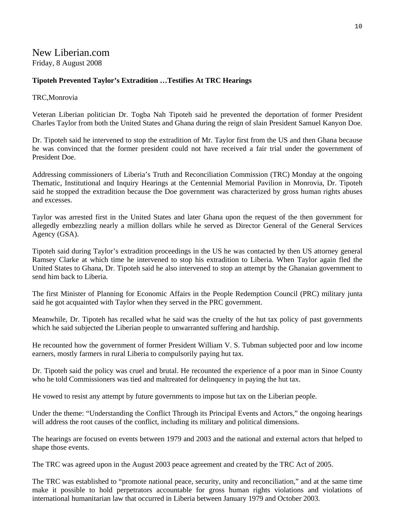## New Liberian.com Friday, 8 August 2008

#### **Tipoteh Prevented Taylor's Extradition …Testifies At TRC Hearings**

#### TRC,Monrovia

Veteran Liberian politician Dr. Togba Nah Tipoteh said he prevented the deportation of former President Charles Taylor from both the United States and Ghana during the reign of slain President Samuel Kanyon Doe.

Dr. Tipoteh said he intervened to stop the extradition of Mr. Taylor first from the US and then Ghana because he was convinced that the former president could not have received a fair trial under the government of President Doe.

Addressing commissioners of Liberia's Truth and Reconciliation Commission (TRC) Monday at the ongoing Thematic, Institutional and Inquiry Hearings at the Centennial Memorial Pavilion in Monrovia, Dr. Tipoteh said he stopped the extradition because the Doe government was characterized by gross human rights abuses and excesses.

Taylor was arrested first in the United States and later Ghana upon the request of the then government for allegedly embezzling nearly a million dollars while he served as Director General of the General Services Agency (GSA).

Tipoteh said during Taylor's extradition proceedings in the US he was contacted by then US attorney general Ramsey Clarke at which time he intervened to stop his extradition to Liberia. When Taylor again fled the United States to Ghana, Dr. Tipoteh said he also intervened to stop an attempt by the Ghanaian government to send him back to Liberia.

The first Minister of Planning for Economic Affairs in the People Redemption Council (PRC) military junta said he got acquainted with Taylor when they served in the PRC government.

Meanwhile, Dr. Tipoteh has recalled what he said was the cruelty of the hut tax policy of past governments which he said subjected the Liberian people to unwarranted suffering and hardship.

He recounted how the government of former President William V. S. Tubman subjected poor and low income earners, mostly farmers in rural Liberia to compulsorily paying hut tax.

Dr. Tipoteh said the policy was cruel and brutal. He recounted the experience of a poor man in Sinoe County who he told Commissioners was tied and maltreated for delinquency in paying the hut tax.

He vowed to resist any attempt by future governments to impose hut tax on the Liberian people.

Under the theme: "Understanding the Conflict Through its Principal Events and Actors," the ongoing hearings will address the root causes of the conflict, including its military and political dimensions.

The hearings are focused on events between 1979 and 2003 and the national and external actors that helped to shape those events.

The TRC was agreed upon in the August 2003 peace agreement and created by the TRC Act of 2005.

The TRC was established to "promote national peace, security, unity and reconciliation," and at the same time make it possible to hold perpetrators accountable for gross human rights violations and violations of international humanitarian law that occurred in Liberia between January 1979 and October 2003.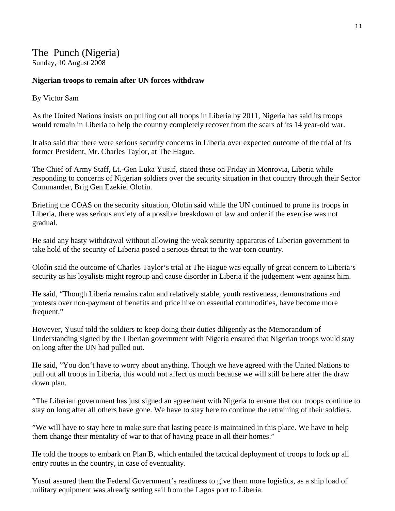## The Punch (Nigeria)

Sunday, 10 August 2008

## **Nigerian troops to remain after UN forces withdraw**

### By Victor Sam

As the United Nations insists on pulling out all troops in Liberia by 2011, Nigeria has said its troops would remain in Liberia to help the country completely recover from the scars of its 14 year-old war.

It also said that there were serious security concerns in Liberia over expected outcome of the trial of its former President, Mr. Charles Taylor, at The Hague.

The Chief of Army Staff, Lt.-Gen Luka Yusuf, stated these on Friday in Monrovia, Liberia while responding to concerns of Nigerian soldiers over the security situation in that country through their Sector Commander, Brig Gen Ezekiel Olofin.

Briefing the COAS on the security situation, Olofin said while the UN continued to prune its troops in Liberia, there was serious anxiety of a possible breakdown of law and order if the exercise was not gradual.

He said any hasty withdrawal without allowing the weak security apparatus of Liberian government to take hold of the security of Liberia posed a serious threat to the war-torn country.

Olofin said the outcome of Charles Taylor's trial at The Hague was equally of great concern to Liberia's security as his loyalists might regroup and cause disorder in Liberia if the judgement went against him.

He said, "Though Liberia remains calm and relatively stable, youth restiveness, demonstrations and protests over non-payment of benefits and price hike on essential commodities, have become more frequent."

However, Yusuf told the soldiers to keep doing their duties diligently as the Memorandum of Understanding signed by the Liberian government with Nigeria ensured that Nigerian troops would stay on long after the UN had pulled out.

He said, "You don't have to worry about anything. Though we have agreed with the United Nations to pull out all troops in Liberia, this would not affect us much because we will still be here after the draw down plan.

"The Liberian government has just signed an agreement with Nigeria to ensure that our troops continue to stay on long after all others have gone. We have to stay here to continue the retraining of their soldiers.

"We will have to stay here to make sure that lasting peace is maintained in this place. We have to help them change their mentality of war to that of having peace in all their homes."

He told the troops to embark on Plan B, which entailed the tactical deployment of troops to lock up all entry routes in the country, in case of eventuality.

Yusuf assured them the Federal Government's readiness to give them more logistics, as a ship load of military equipment was already setting sail from the Lagos port to Liberia.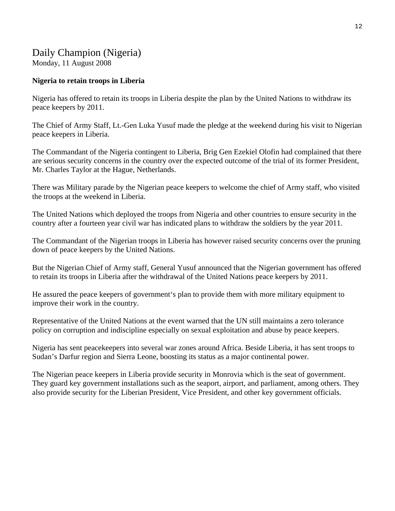## Daily Champion (Nigeria)

Monday, 11 August 2008

## **Nigeria to retain troops in Liberia**

Nigeria has offered to retain its troops in Liberia despite the plan by the United Nations to withdraw its peace keepers by 2011.

The Chief of Army Staff, Lt.-Gen Luka Yusuf made the pledge at the weekend during his visit to Nigerian peace keepers in Liberia.

The Commandant of the Nigeria contingent to Liberia, Brig Gen Ezekiel Olofin had complained that there are serious security concerns in the country over the expected outcome of the trial of its former President, Mr. Charles Taylor at the Hague, Netherlands.

There was Military parade by the Nigerian peace keepers to welcome the chief of Army staff, who visited the troops at the weekend in Liberia.

The United Nations which deployed the troops from Nigeria and other countries to ensure security in the country after a fourteen year civil war has indicated plans to withdraw the soldiers by the year 2011.

The Commandant of the Nigerian troops in Liberia has however raised security concerns over the pruning down of peace keepers by the United Nations.

But the Nigerian Chief of Army staff, General Yusuf announced that the Nigerian government has offered to retain its troops in Liberia after the withdrawal of the United Nations peace keepers by 2011.

He assured the peace keepers of government's plan to provide them with more military equipment to improve their work in the country.

Representative of the United Nations at the event warned that the UN still maintains a zero tolerance policy on corruption and indiscipline especially on sexual exploitation and abuse by peace keepers.

Nigeria has sent peacekeepers into several war zones around Africa. Beside Liberia, it has sent troops to Sudan's Darfur region and Sierra Leone, boosting its status as a major continental power.

The Nigerian peace keepers in Liberia provide security in Monrovia which is the seat of government. They guard key government installations such as the seaport, airport, and parliament, among others. They also provide security for the Liberian President, Vice President, and other key government officials.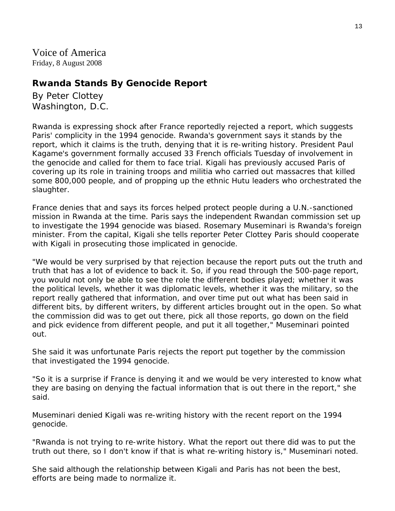Voice of America Friday, 8 August 2008

## **Rwanda Stands By Genocide Report**

By Peter Clottey Washington, D.C.

Rwanda is expressing shock after France reportedly rejected a report, which suggests Paris' complicity in the 1994 genocide. Rwanda's government says it stands by the report, which it claims is the truth, denying that it is re-writing history. President Paul Kagame's government formally accused 33 French officials Tuesday of involvement in the genocide and called for them to face trial. Kigali has previously accused Paris of covering up its role in training troops and militia who carried out massacres that killed some 800,000 people, and of propping up the ethnic Hutu leaders who orchestrated the slaughter.

France denies that and says its forces helped protect people during a U.N.-sanctioned mission in Rwanda at the time. Paris says the independent Rwandan commission set up to investigate the 1994 genocide was biased. Rosemary Museminari is Rwanda's foreign minister. From the capital, Kigali she tells reporter Peter Clottey Paris should cooperate with Kigali in prosecuting those implicated in genocide.

"We would be very surprised by that rejection because the report puts out the truth and truth that has a lot of evidence to back it. So, if you read through the 500-page report, you would not only be able to see the role the different bodies played; whether it was the political levels, whether it was diplomatic levels, whether it was the military, so the report really gathered that information, and over time put out what has been said in different bits, by different writers, by different articles brought out in the open. So what the commission did was to get out there, pick all those reports, go down on the field and pick evidence from different people, and put it all together," Museminari pointed out.

She said it was unfortunate Paris rejects the report put together by the commission that investigated the 1994 genocide.

"So it is a surprise if France is denying it and we would be very interested to know what they are basing on denying the factual information that is out there in the report," she said.

Museminari denied Kigali was re-writing history with the recent report on the 1994 genocide.

"Rwanda is not trying to re-write history. What the report out there did was to put the truth out there, so I don't know if that is what re-writing history is," Museminari noted.

She said although the relationship between Kigali and Paris has not been the best, efforts are being made to normalize it.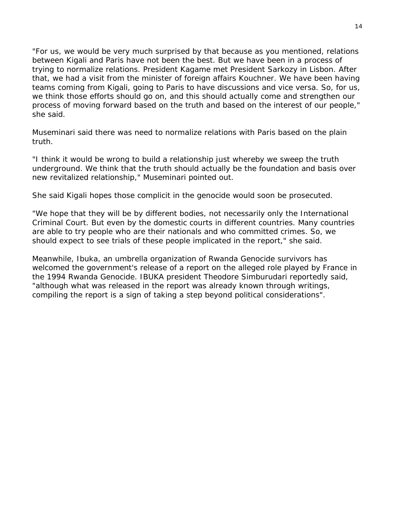"For us, we would be very much surprised by that because as you mentioned, relations between Kigali and Paris have not been the best. But we have been in a process of trying to normalize relations. President Kagame met President Sarkozy in Lisbon. After that, we had a visit from the minister of foreign affairs Kouchner. We have been having teams coming from Kigali, going to Paris to have discussions and vice versa. So, for us, we think those efforts should go on, and this should actually come and strengthen our process of moving forward based on the truth and based on the interest of our people," she said.

Museminari said there was need to normalize relations with Paris based on the plain truth.

"I think it would be wrong to build a relationship just whereby we sweep the truth underground. We think that the truth should actually be the foundation and basis over new revitalized relationship," Museminari pointed out.

She said Kigali hopes those complicit in the genocide would soon be prosecuted.

"We hope that they will be by different bodies, not necessarily only the International Criminal Court. But even by the domestic courts in different countries. Many countries are able to try people who are their nationals and who committed crimes. So, we should expect to see trials of these people implicated in the report," she said.

Meanwhile, Ibuka, an umbrella organization of Rwanda Genocide survivors has welcomed the government's release of a report on the alleged role played by France in the 1994 Rwanda Genocide. IBUKA president Theodore Simburudari reportedly said, "although what was released in the report was already known through writings, compiling the report is a sign of taking a step beyond political considerations".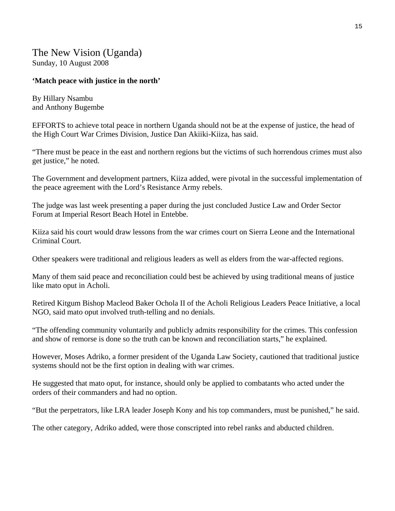The New Vision (Uganda) Sunday, 10 August 2008

### **'Match peace with justice in the north'**

By Hillary Nsambu and Anthony Bugembe

EFFORTS to achieve total peace in northern Uganda should not be at the expense of justice, the head of the High Court War Crimes Division, Justice Dan Akiiki-Kiiza, has said.

"There must be peace in the east and northern regions but the victims of such horrendous crimes must also get justice," he noted.

The Government and development partners, Kiiza added, were pivotal in the successful implementation of the peace agreement with the Lord's Resistance Army rebels.

The judge was last week presenting a paper during the just concluded Justice Law and Order Sector Forum at Imperial Resort Beach Hotel in Entebbe.

Kiiza said his court would draw lessons from the war crimes court on Sierra Leone and the International Criminal Court.

Other speakers were traditional and religious leaders as well as elders from the war-affected regions.

Many of them said peace and reconciliation could best be achieved by using traditional means of justice like mato oput in Acholi.

Retired Kitgum Bishop Macleod Baker Ochola II of the Acholi Religious Leaders Peace Initiative, a local NGO, said mato oput involved truth-telling and no denials.

"The offending community voluntarily and publicly admits responsibility for the crimes. This confession and show of remorse is done so the truth can be known and reconciliation starts," he explained.

However, Moses Adriko, a former president of the Uganda Law Society, cautioned that traditional justice systems should not be the first option in dealing with war crimes.

He suggested that mato oput, for instance, should only be applied to combatants who acted under the orders of their commanders and had no option.

"But the perpetrators, like LRA leader Joseph Kony and his top commanders, must be punished," he said.

The other category, Adriko added, were those conscripted into rebel ranks and abducted children.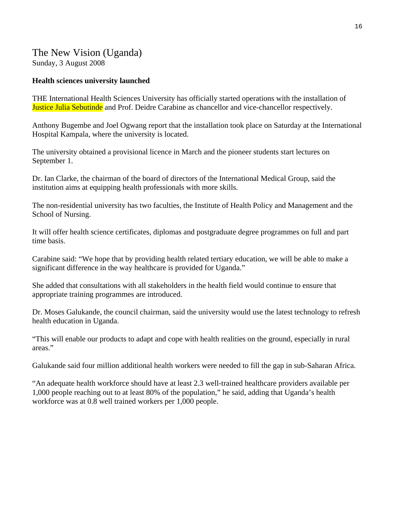## The New Vision (Uganda) Sunday, 3 August 2008

### **Health sciences university launched**

THE International Health Sciences University has officially started operations with the installation of **Justice Julia Sebutinde** and Prof. Deidre Carabine as chancellor and vice-chancellor respectively.

Anthony Bugembe and Joel Ogwang report that the installation took place on Saturday at the International Hospital Kampala, where the university is located.

The university obtained a provisional licence in March and the pioneer students start lectures on September 1.

Dr. Ian Clarke, the chairman of the board of directors of the International Medical Group, said the institution aims at equipping health professionals with more skills.

The non-residential university has two faculties, the Institute of Health Policy and Management and the School of Nursing.

It will offer health science certificates, diplomas and postgraduate degree programmes on full and part time basis.

Carabine said: "We hope that by providing health related tertiary education, we will be able to make a significant difference in the way healthcare is provided for Uganda."

She added that consultations with all stakeholders in the health field would continue to ensure that appropriate training programmes are introduced.

Dr. Moses Galukande, the council chairman, said the university would use the latest technology to refresh health education in Uganda.

"This will enable our products to adapt and cope with health realities on the ground, especially in rural areas."

Galukande said four million additional health workers were needed to fill the gap in sub-Saharan Africa.

"An adequate health workforce should have at least 2.3 well-trained healthcare providers available per 1,000 people reaching out to at least 80% of the population," he said, adding that Uganda's health workforce was at 0.8 well trained workers per 1,000 people.